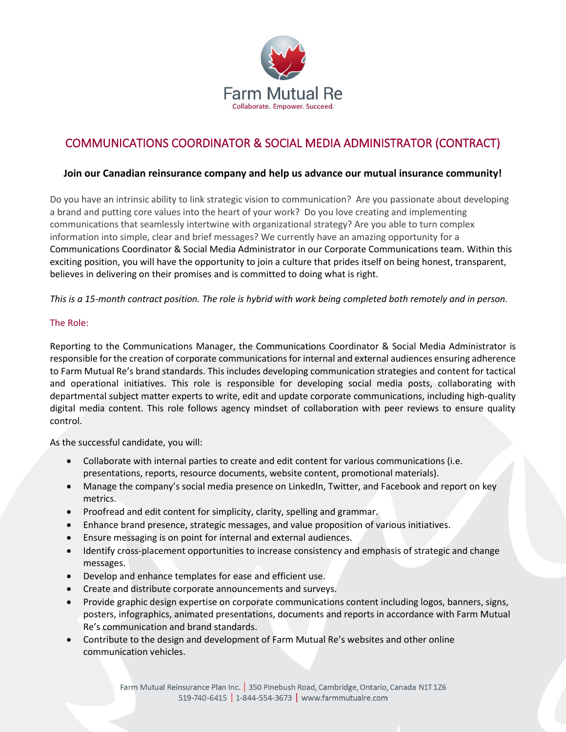

# COMMUNICATIONS COORDINATOR & SOCIAL MEDIA ADMINISTRATOR (CONTRACT)

# **Join our Canadian reinsurance company and help us advance our mutual insurance community!**

Do you have an intrinsic ability to link strategic vision to communication? Are you passionate about developing a brand and putting core values into the heart of your work? Do you love creating and implementing communications that seamlessly intertwine with organizational strategy? Are you able to turn complex information into simple, clear and brief messages? We currently have an amazing opportunity for a Communications Coordinator & Social Media Administrator in our Corporate Communications team. Within this exciting position, you will have the opportunity to join a culture that prides itself on being honest, transparent, believes in delivering on their promises and is committed to doing what is right.

### *This is a 15-month contract position. The role is hybrid with work being completed both remotely and in person.*

### The Role:

Reporting to the Communications Manager, the Communications Coordinator & Social Media Administrator is responsible for the creation of corporate communications for internal and external audiences ensuring adherence to Farm Mutual Re's brand standards. This includes developing communication strategies and content for tactical and operational initiatives. This role is responsible for developing social media posts, collaborating with departmental subject matter experts to write, edit and update corporate communications, including high-quality digital media content. This role follows agency mindset of collaboration with peer reviews to ensure quality control.

As the successful candidate, you will:

- Collaborate with internal parties to create and edit content for various communications (i.e. presentations, reports, resource documents, website content, promotional materials).
- Manage the company's social media presence on LinkedIn, Twitter, and Facebook and report on key metrics.
- Proofread and edit content for simplicity, clarity, spelling and grammar.
- Enhance brand presence, strategic messages, and value proposition of various initiatives.
- Ensure messaging is on point for internal and external audiences.
- Identify cross-placement opportunities to increase consistency and emphasis of strategic and change messages.
- Develop and enhance templates for ease and efficient use.
- Create and distribute corporate announcements and surveys.
- Provide graphic design expertise on corporate communications content including logos, banners, signs, posters, infographics, animated presentations, documents and reports in accordance with Farm Mutual Re's communication and brand standards.
- Contribute to the design and development of Farm Mutual Re's websites and other online communication vehicles.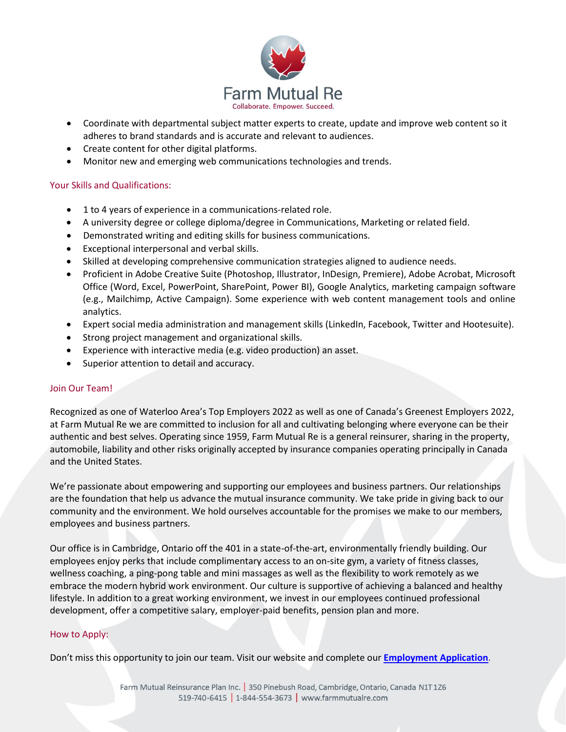

- Coordinate with departmental subject matter experts to create, update and improve web content so it adheres to brand standards and is accurate and relevant to audiences.
- Create content for other digital platforms.
- Monitor new and emerging web communications technologies and trends.

# Your Skills and Qualifications:

- 1 to 4 years of experience in a communications-related role.
- A university degree or college diploma/degree in Communications, Marketing or related field.
- Demonstrated writing and editing skills for business communications.
- Exceptional interpersonal and verbal skills.
- Skilled at developing comprehensive communication strategies aligned to audience needs.
- Proficient in Adobe Creative Suite (Photoshop, Illustrator, InDesign, Premiere), Adobe Acrobat, Microsoft Office (Word, Excel, PowerPoint, SharePoint, Power BI), Google Analytics, marketing campaign software (e.g., Mailchimp, Active Campaign). Some experience with web content management tools and online analytics.
- Expert social media administration and management skills (LinkedIn, Facebook, Twitter and Hootesuite).
- Strong project management and organizational skills.
- Experience with interactive media (e.g. video production) an asset.
- Superior attention to detail and accuracy.

### Join Our Team!

Recognized as one of Waterloo Area's Top Employers 2022 as well as one of Canada's Greenest Employers 2022, at Farm Mutual Re we are committed to inclusion for all and cultivating belonging where everyone can be their authentic and best selves. Operating since 1959, Farm Mutual Re is a general reinsurer, sharing in the property, automobile, liability and other risks originally accepted by insurance companies operating principally in Canada and the United States.

We're passionate about empowering and supporting our employees and business partners. Our relationships are the foundation that help us advance the mutual insurance community. We take pride in giving back to our community and the environment. We hold ourselves accountable for the promises we make to our members, employees and business partners.

Our office is in Cambridge, Ontario off the 401 in a state-of-the-art, environmentally friendly building. Our employees enjoy perks that include complimentary access to an on-site gym, a variety of fitness classes, wellness coaching, a ping-pong table and mini massages as well as the flexibility to work remotely as we embrace the modern hybrid work environment. Our culture is supportive of achieving a balanced and healthy lifestyle. In addition to a great working environment, we invest in our employees continued professional development, offer a competitive salary, employer-paid benefits, pension plan and more.

### How to Apply:

Don't miss this opportunity to join our team. Visit our website and complete our **[Employment Application](https://www.cognitoforms.com/FarmMutualRe1/FarmMutualReEmploymentApplication)**.